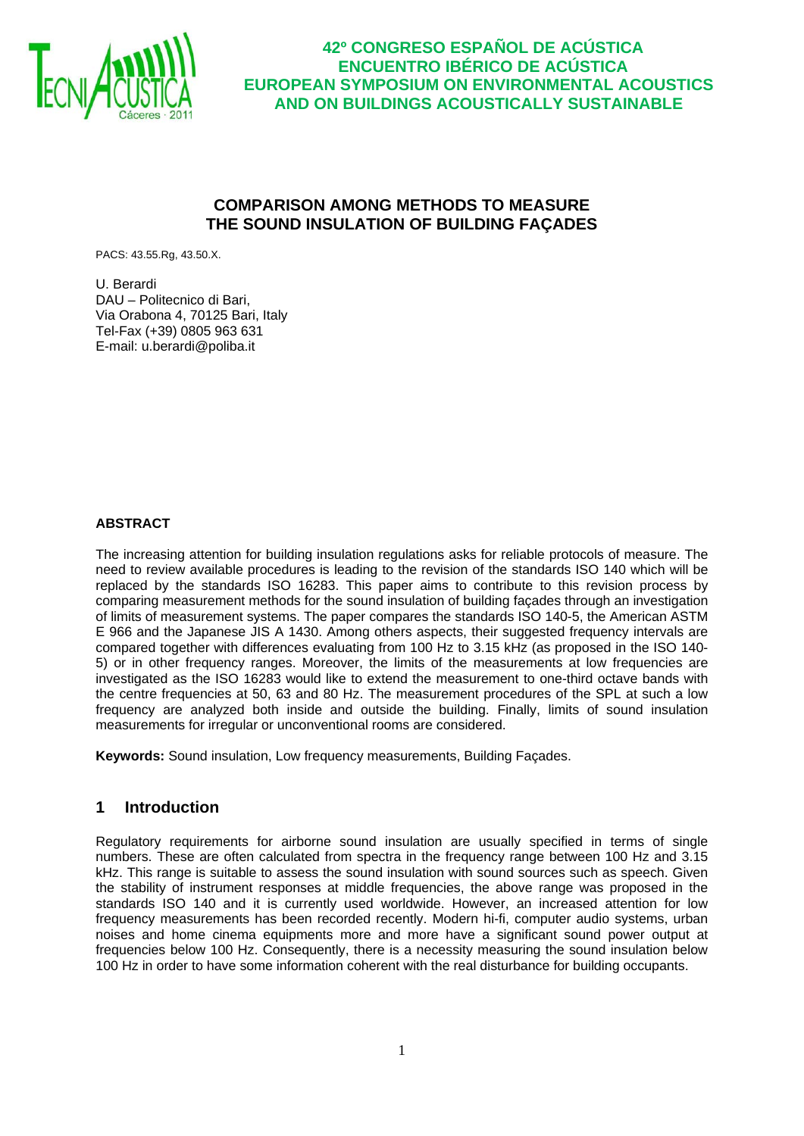

## **COMPARISON AMONG METHODS TO MEASURE THE SOUND INSULATION OF BUILDING FAÇADES**

PACS: 43.55.Rg, 43.50.X.

U. Berardi DAU – Politecnico di Bari, Via Orabona 4, 70125 Bari, Italy Tel-Fax (+39) 0805 963 631 E-mail: u.berardi@poliba.it

#### **ABSTRACT**

The increasing attention for building insulation regulations asks for reliable protocols of measure. The need to review available procedures is leading to the revision of the standards ISO 140 which will be replaced by the standards ISO 16283. This paper aims to contribute to this revision process by comparing measurement methods for the sound insulation of building façades through an investigation of limits of measurement systems. The paper compares the standards ISO 140-5, the American ASTM E 966 and the Japanese JIS A 1430. Among others aspects, their suggested frequency intervals are compared together with differences evaluating from 100 Hz to 3.15 kHz (as proposed in the ISO 140- 5) or in other frequency ranges. Moreover, the limits of the measurements at low frequencies are investigated as the ISO 16283 would like to extend the measurement to one-third octave bands with the centre frequencies at 50, 63 and 80 Hz. The measurement procedures of the SPL at such a low frequency are analyzed both inside and outside the building. Finally, limits of sound insulation measurements for irregular or unconventional rooms are considered.

**Keywords:** Sound insulation, Low frequency measurements, Building Façades.

### **1 Introduction**

Regulatory requirements for airborne sound insulation are usually specified in terms of single numbers. These are often calculated from spectra in the frequency range between 100 Hz and 3.15 kHz. This range is suitable to assess the sound insulation with sound sources such as speech. Given the stability of instrument responses at middle frequencies, the above range was proposed in the standards ISO 140 and it is currently used worldwide. However, an increased attention for low frequency measurements has been recorded recently. Modern hi-fi, computer audio systems, urban noises and home cinema equipments more and more have a significant sound power output at frequencies below 100 Hz. Consequently, there is a necessity measuring the sound insulation below 100 Hz in order to have some information coherent with the real disturbance for building occupants.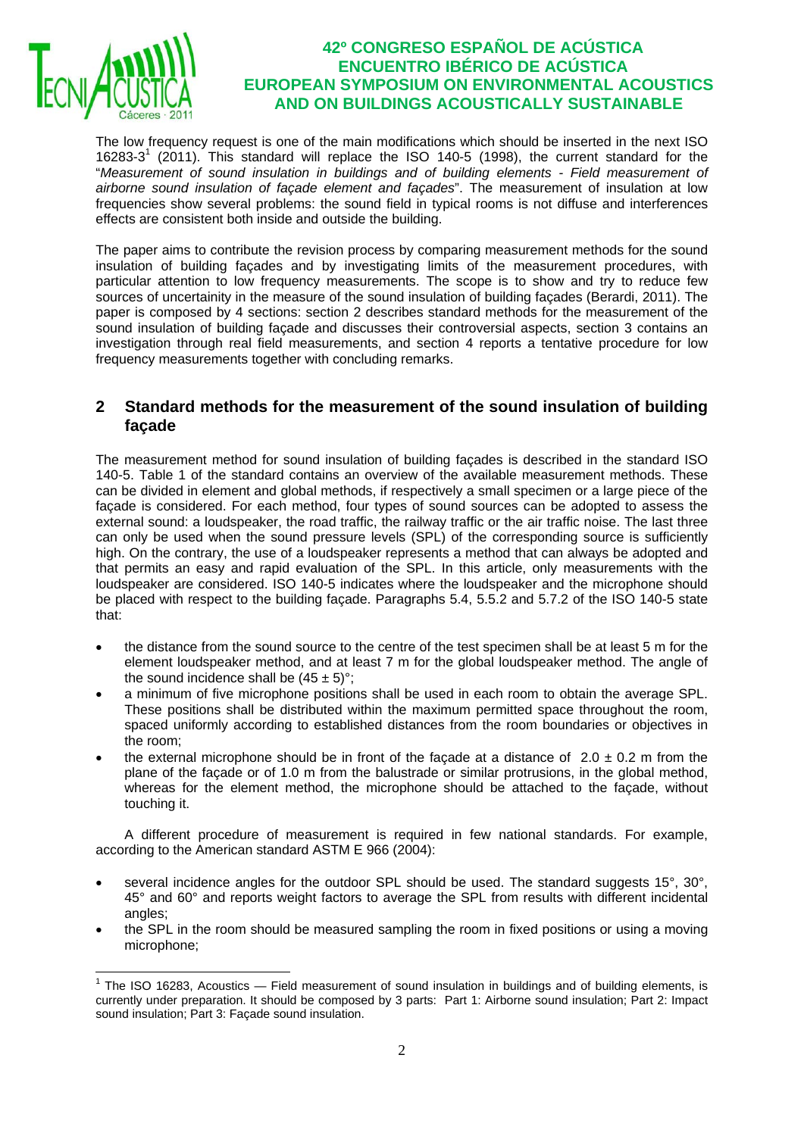

The low frequency request is one of the main modifications which should be inserted in the next ISO 16283-3<sup>1</sup> (2011). This standard will replace the ISO 140-5 (1998), the current standard for the "*Measurement of sound insulation in buildings and of building elements - Field measurement of airborne sound insulation of façade element and façades*". The measurement of insulation at low frequencies show several problems: the sound field in typical rooms is not diffuse and interferences effects are consistent both inside and outside the building.

The paper aims to contribute the revision process by comparing measurement methods for the sound insulation of building façades and by investigating limits of the measurement procedures, with particular attention to low frequency measurements. The scope is to show and try to reduce few sources of uncertainity in the measure of the sound insulation of building façades (Berardi, 2011). The paper is composed by 4 sections: section 2 describes standard methods for the measurement of the sound insulation of building façade and discusses their controversial aspects, section 3 contains an investigation through real field measurements, and section 4 reports a tentative procedure for low frequency measurements together with concluding remarks.

### **2 Standard methods for the measurement of the sound insulation of building façade**

The measurement method for sound insulation of building façades is described in the standard ISO 140-5. Table 1 of the standard contains an overview of the available measurement methods. These can be divided in element and global methods, if respectively a small specimen or a large piece of the façade is considered. For each method, four types of sound sources can be adopted to assess the external sound: a loudspeaker, the road traffic, the railway traffic or the air traffic noise. The last three can only be used when the sound pressure levels (SPL) of the corresponding source is sufficiently high. On the contrary, the use of a loudspeaker represents a method that can always be adopted and that permits an easy and rapid evaluation of the SPL. In this article, only measurements with the loudspeaker are considered. ISO 140-5 indicates where the loudspeaker and the microphone should be placed with respect to the building façade. Paragraphs 5.4, 5.5.2 and 5.7.2 of the ISO 140-5 state that:

- the distance from the sound source to the centre of the test specimen shall be at least 5 m for the element loudspeaker method, and at least 7 m for the global loudspeaker method. The angle of the sound incidence shall be  $(45 \pm 5)$ °:
- a minimum of five microphone positions shall be used in each room to obtain the average SPL. These positions shall be distributed within the maximum permitted space throughout the room, spaced uniformly according to established distances from the room boundaries or objectives in the room;
- the external microphone should be in front of the facade at a distance of  $2.0 \pm 0.2$  m from the plane of the façade or of 1.0 m from the balustrade or similar protrusions, in the global method, whereas for the element method, the microphone should be attached to the façade, without touching it.

A different procedure of measurement is required in few national standards. For example, according to the American standard ASTM E 966 (2004):

- several incidence angles for the outdoor SPL should be used. The standard suggests 15°, 30°, 45° and 60° and reports weight factors to average the SPL from results with different incidental angles;
- the SPL in the room should be measured sampling the room in fixed positions or using a moving microphone;

<sup>1</sup>  $1$  The ISO 16283, Acoustics  $-$  Field measurement of sound insulation in buildings and of building elements, is currently under preparation. It should be composed by 3 parts: Part 1: Airborne sound insulation; Part 2: Impact sound insulation; Part 3: Façade sound insulation.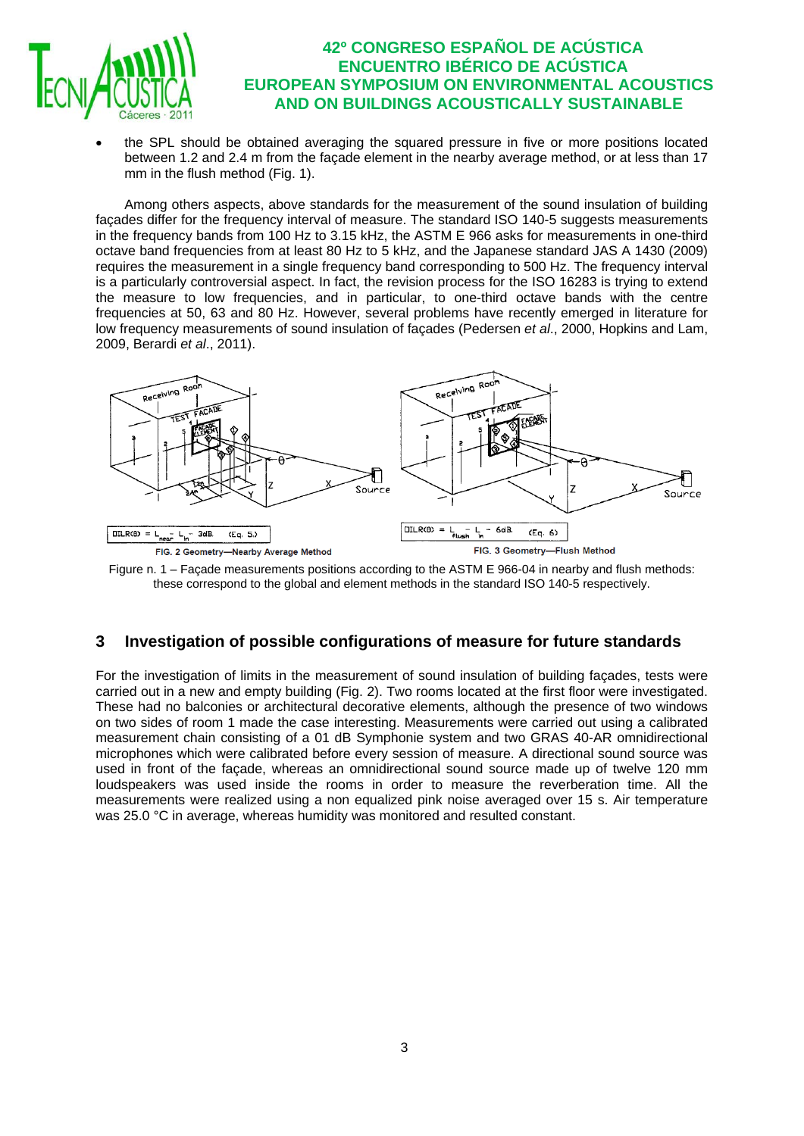

• the SPL should be obtained averaging the squared pressure in five or more positions located between 1.2 and 2.4 m from the façade element in the nearby average method, or at less than 17 mm in the flush method (Fig. 1).

Among others aspects, above standards for the measurement of the sound insulation of building façades differ for the frequency interval of measure. The standard ISO 140-5 suggests measurements in the frequency bands from 100 Hz to 3.15 kHz, the ASTM E 966 asks for measurements in one-third octave band frequencies from at least 80 Hz to 5 kHz, and the Japanese standard JAS A 1430 (2009) requires the measurement in a single frequency band corresponding to 500 Hz. The frequency interval is a particularly controversial aspect. In fact, the revision process for the ISO 16283 is trying to extend the measure to low frequencies, and in particular, to one-third octave bands with the centre frequencies at 50, 63 and 80 Hz. However, several problems have recently emerged in literature for low frequency measurements of sound insulation of façades (Pedersen *et al*., 2000, Hopkins and Lam, 2009, Berardi *et al*., 2011).



Figure n. 1 – Façade measurements positions according to the ASTM E 966-04 in nearby and flush methods: these correspond to the global and element methods in the standard ISO 140-5 respectively.

## **3 Investigation of possible configurations of measure for future standards**

For the investigation of limits in the measurement of sound insulation of building façades, tests were carried out in a new and empty building (Fig. 2). Two rooms located at the first floor were investigated. These had no balconies or architectural decorative elements, although the presence of two windows on two sides of room 1 made the case interesting. Measurements were carried out using a calibrated measurement chain consisting of a 01 dB Symphonie system and two GRAS 40-AR omnidirectional microphones which were calibrated before every session of measure. A directional sound source was used in front of the façade, whereas an omnidirectional sound source made up of twelve 120 mm loudspeakers was used inside the rooms in order to measure the reverberation time. All the measurements were realized using a non equalized pink noise averaged over 15 s. Air temperature was 25.0 °C in average, whereas humidity was monitored and resulted constant.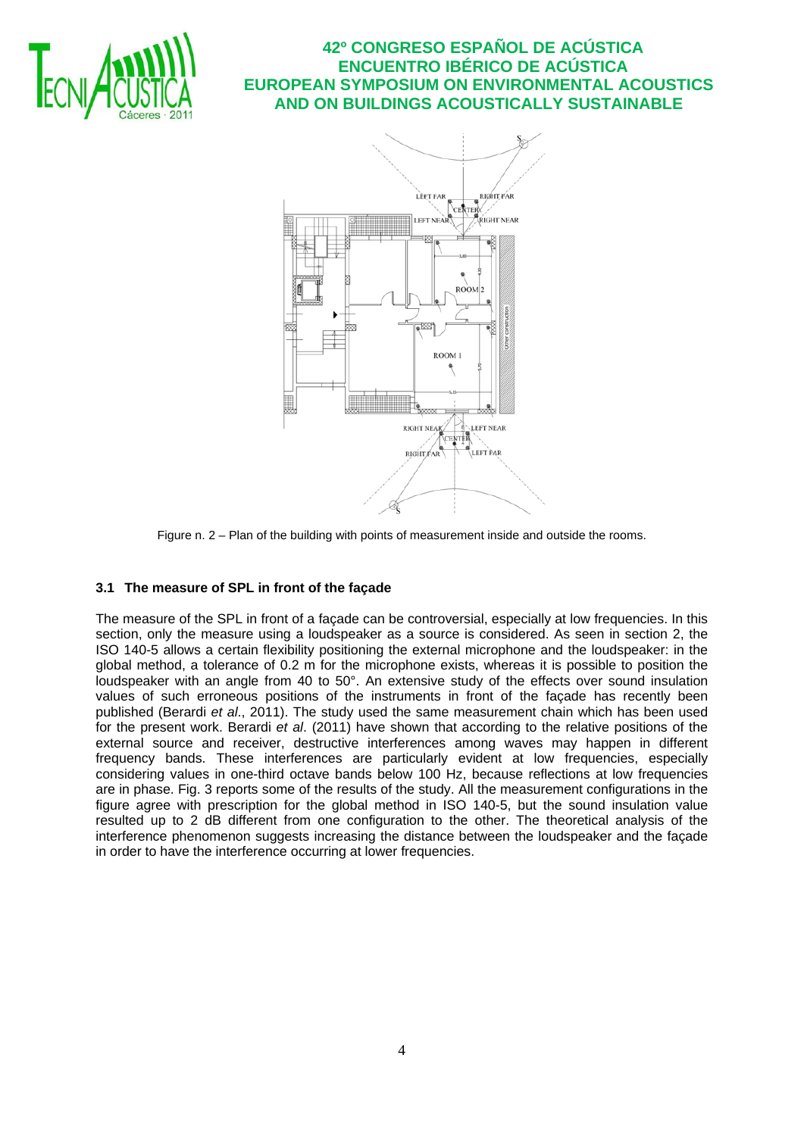



Figure n. 2 – Plan of the building with points of measurement inside and outside the rooms.

### **3.1 The measure of SPL in front of the façade**

The measure of the SPL in front of a façade can be controversial, especially at low frequencies. In this section, only the measure using a loudspeaker as a source is considered. As seen in section 2, the ISO 140-5 allows a certain flexibility positioning the external microphone and the loudspeaker: in the global method, a tolerance of 0.2 m for the microphone exists, whereas it is possible to position the loudspeaker with an angle from 40 to 50°. An extensive study of the effects over sound insulation values of such erroneous positions of the instruments in front of the façade has recently been published (Berardi *et al*., 2011). The study used the same measurement chain which has been used for the present work. Berardi *et al*. (2011) have shown that according to the relative positions of the external source and receiver, destructive interferences among waves may happen in different frequency bands. These interferences are particularly evident at low frequencies, especially considering values in one-third octave bands below 100 Hz, because reflections at low frequencies are in phase. Fig. 3 reports some of the results of the study. All the measurement configurations in the figure agree with prescription for the global method in ISO 140-5, but the sound insulation value resulted up to 2 dB different from one configuration to the other. The theoretical analysis of the interference phenomenon suggests increasing the distance between the loudspeaker and the façade in order to have the interference occurring at lower frequencies.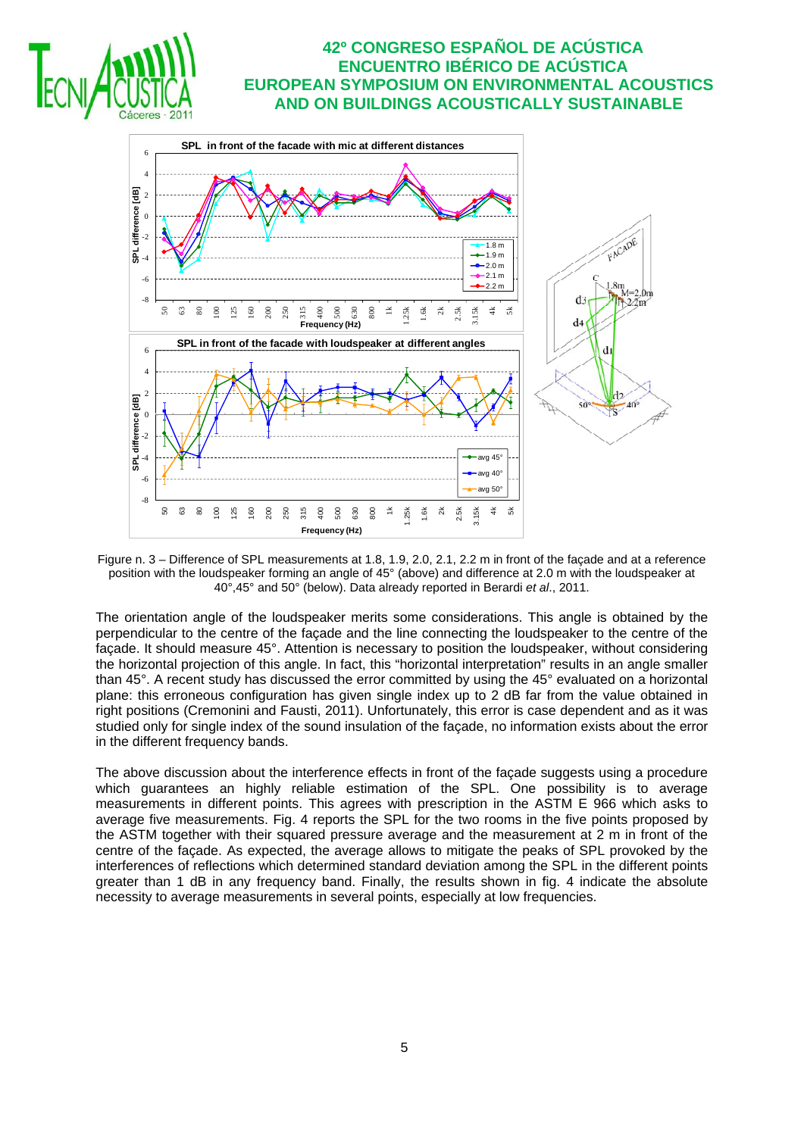



Figure n. 3 – Difference of SPL measurements at 1.8, 1.9, 2.0, 2.1, 2.2 m in front of the façade and at a reference position with the loudspeaker forming an angle of 45° (above) and difference at 2.0 m with the loudspeaker at 40°,45° and 50° (below). Data already reported in Berardi *et al*., 2011.

The orientation angle of the loudspeaker merits some considerations. This angle is obtained by the perpendicular to the centre of the façade and the line connecting the loudspeaker to the centre of the façade. It should measure 45°. Attention is necessary to position the loudspeaker, without considering the horizontal projection of this angle. In fact, this "horizontal interpretation" results in an angle smaller than 45°. A recent study has discussed the error committed by using the 45° evaluated on a horizontal plane: this erroneous configuration has given single index up to 2 dB far from the value obtained in right positions (Cremonini and Fausti, 2011). Unfortunately, this error is case dependent and as it was studied only for single index of the sound insulation of the façade, no information exists about the error in the different frequency bands.

The above discussion about the interference effects in front of the façade suggests using a procedure which guarantees an highly reliable estimation of the SPL. One possibility is to average measurements in different points. This agrees with prescription in the ASTM E 966 which asks to average five measurements. Fig. 4 reports the SPL for the two rooms in the five points proposed by the ASTM together with their squared pressure average and the measurement at 2 m in front of the centre of the façade. As expected, the average allows to mitigate the peaks of SPL provoked by the interferences of reflections which determined standard deviation among the SPL in the different points greater than 1 dB in any frequency band. Finally, the results shown in fig. 4 indicate the absolute necessity to average measurements in several points, especially at low frequencies.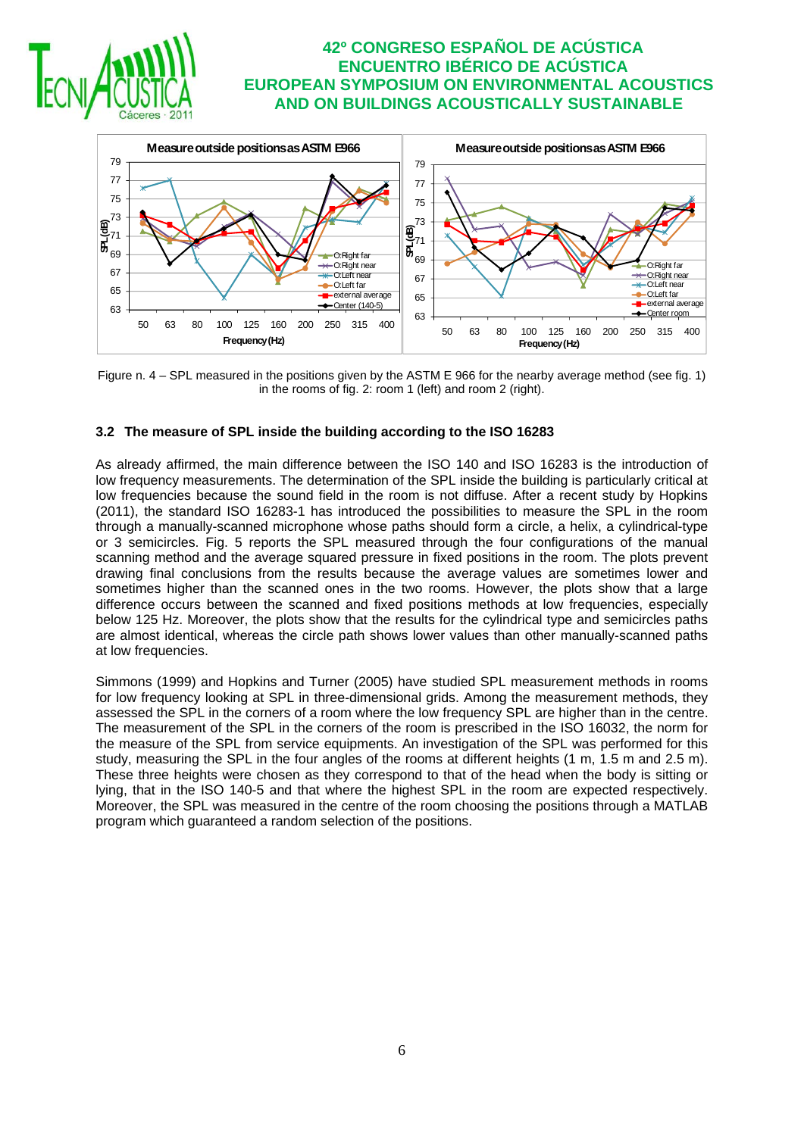



Figure n.  $4 - SPL$  measured in the positions given by the ASTM E 966 for the nearby average method (see fig. 1) in the rooms of fig. 2: room 1 (left) and room 2 (right).

#### **3.2 The measure of SPL inside the building according to the ISO 16283**

As already affirmed, the main difference between the ISO 140 and ISO 16283 is the introduction of low frequency measurements. The determination of the SPL inside the building is particularly critical at low frequencies because the sound field in the room is not diffuse. After a recent study by Hopkins (2011), the standard ISO 16283-1 has introduced the possibilities to measure the SPL in the room through a manually-scanned microphone whose paths should form a circle, a helix, a cylindrical-type or 3 semicircles. Fig. 5 reports the SPL measured through the four configurations of the manual scanning method and the average squared pressure in fixed positions in the room. The plots prevent drawing final conclusions from the results because the average values are sometimes lower and sometimes higher than the scanned ones in the two rooms. However, the plots show that a large difference occurs between the scanned and fixed positions methods at low frequencies, especially below 125 Hz. Moreover, the plots show that the results for the cylindrical type and semicircles paths are almost identical, whereas the circle path shows lower values than other manually-scanned paths at low frequencies.

Simmons (1999) and Hopkins and Turner (2005) have studied SPL measurement methods in rooms for low frequency looking at SPL in three-dimensional grids. Among the measurement methods, they assessed the SPL in the corners of a room where the low frequency SPL are higher than in the centre. The measurement of the SPL in the corners of the room is prescribed in the ISO 16032, the norm for the measure of the SPL from service equipments. An investigation of the SPL was performed for this study, measuring the SPL in the four angles of the rooms at different heights (1 m, 1.5 m and 2.5 m). These three heights were chosen as they correspond to that of the head when the body is sitting or lying, that in the ISO 140-5 and that where the highest SPL in the room are expected respectively. Moreover, the SPL was measured in the centre of the room choosing the positions through a MATLAB program which guaranteed a random selection of the positions.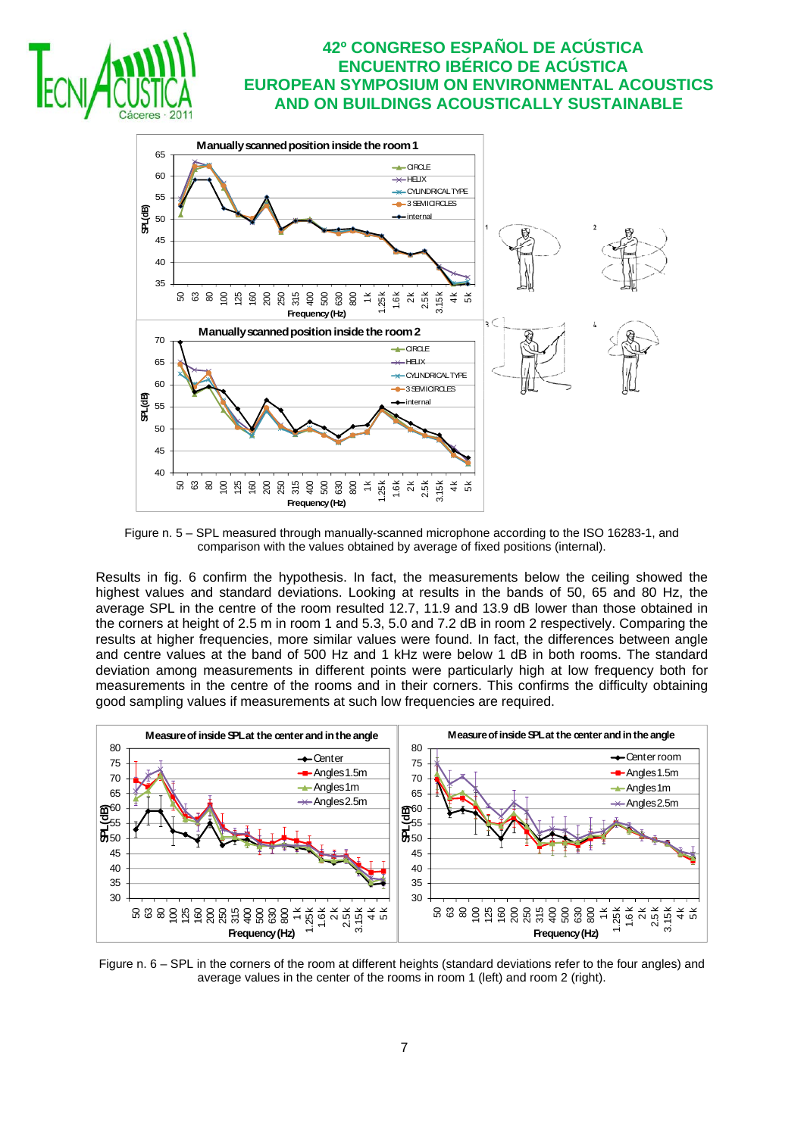



Figure n. 5 – SPL measured through manually-scanned microphone according to the ISO 16283-1, and comparison with the values obtained by average of fixed positions (internal).

Results in fig. 6 confirm the hypothesis. In fact, the measurements below the ceiling showed the highest values and standard deviations. Looking at results in the bands of 50, 65 and 80 Hz, the average SPL in the centre of the room resulted 12.7, 11.9 and 13.9 dB lower than those obtained in the corners at height of 2.5 m in room 1 and 5.3, 5.0 and 7.2 dB in room 2 respectively. Comparing the results at higher frequencies, more similar values were found. In fact, the differences between angle and centre values at the band of 500 Hz and 1 kHz were below 1 dB in both rooms. The standard deviation among measurements in different points were particularly high at low frequency both for measurements in the centre of the rooms and in their corners. This confirms the difficulty obtaining good sampling values if measurements at such low frequencies are required.



Figure n. 6 – SPL in the corners of the room at different heights (standard deviations refer to the four angles) and average values in the center of the rooms in room 1 (left) and room 2 (right).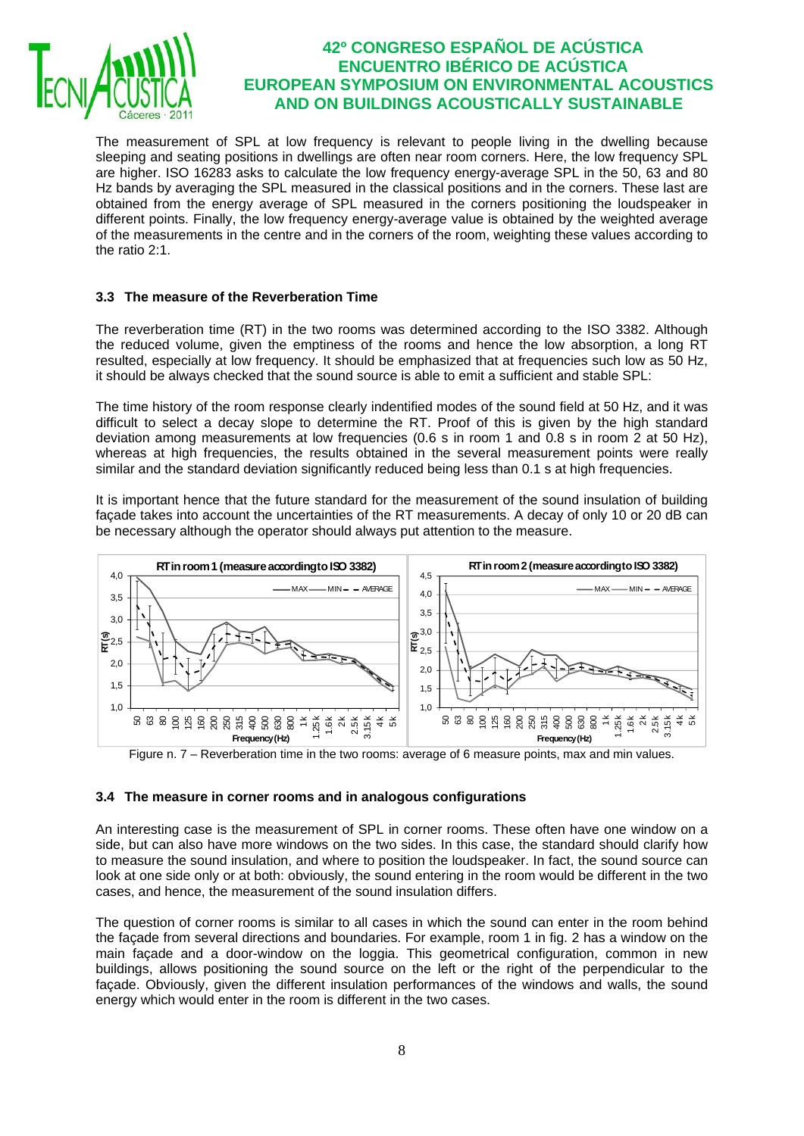

The measurement of SPL at low frequency is relevant to people living in the dwelling because sleeping and seating positions in dwellings are often near room corners. Here, the low frequency SPL are higher. ISO 16283 asks to calculate the low frequency energy-average SPL in the 50, 63 and 80 Hz bands by averaging the SPL measured in the classical positions and in the corners. These last are obtained from the energy average of SPL measured in the corners positioning the loudspeaker in different points. Finally, the low frequency energy-average value is obtained by the weighted average of the measurements in the centre and in the corners of the room, weighting these values according to the ratio 2:1.

#### **3.3 The measure of the Reverberation Time**

The reverberation time (RT) in the two rooms was determined according to the ISO 3382. Although the reduced volume, given the emptiness of the rooms and hence the low absorption, a long RT resulted, especially at low frequency. It should be emphasized that at frequencies such low as 50 Hz, it should be always checked that the sound source is able to emit a sufficient and stable SPL:

The time history of the room response clearly indentified modes of the sound field at 50 Hz, and it was difficult to select a decay slope to determine the RT. Proof of this is given by the high standard deviation among measurements at low frequencies (0.6 s in room 1 and 0.8 s in room 2 at 50 Hz), whereas at high frequencies, the results obtained in the several measurement points were really similar and the standard deviation significantly reduced being less than 0.1 s at high frequencies.

It is important hence that the future standard for the measurement of the sound insulation of building façade takes into account the uncertainties of the RT measurements. A decay of only 10 or 20 dB can be necessary although the operator should always put attention to the measure.



Figure n. 7 – Reverberation time in the two rooms: average of 6 measure points, max and min values.

#### **3.4 The measure in corner rooms and in analogous configurations**

An interesting case is the measurement of SPL in corner rooms. These often have one window on a side, but can also have more windows on the two sides. In this case, the standard should clarify how to measure the sound insulation, and where to position the loudspeaker. In fact, the sound source can look at one side only or at both: obviously, the sound entering in the room would be different in the two cases, and hence, the measurement of the sound insulation differs.

The question of corner rooms is similar to all cases in which the sound can enter in the room behind the façade from several directions and boundaries. For example, room 1 in fig. 2 has a window on the main façade and a door-window on the loggia. This geometrical configuration, common in new buildings, allows positioning the sound source on the left or the right of the perpendicular to the façade. Obviously, given the different insulation performances of the windows and walls, the sound energy which would enter in the room is different in the two cases.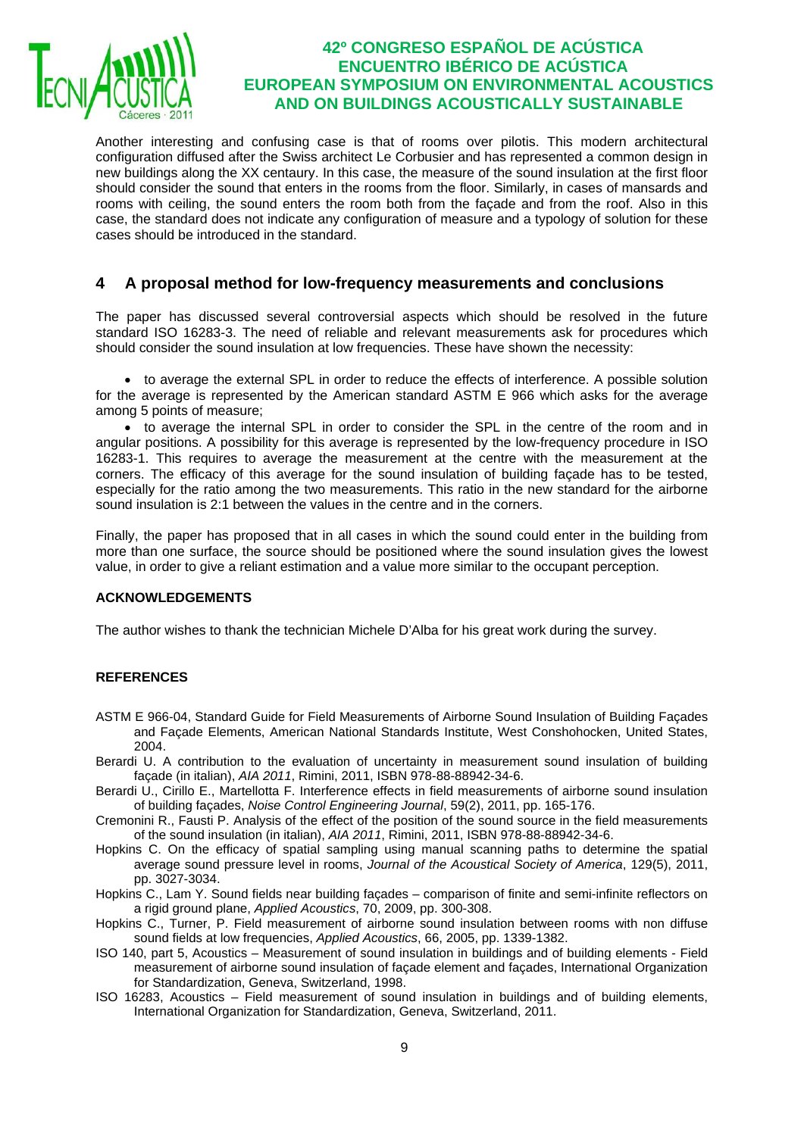

Another interesting and confusing case is that of rooms over pilotis. This modern architectural configuration diffused after the Swiss architect Le Corbusier and has represented a common design in new buildings along the XX centaury. In this case, the measure of the sound insulation at the first floor should consider the sound that enters in the rooms from the floor. Similarly, in cases of mansards and rooms with ceiling, the sound enters the room both from the façade and from the roof. Also in this case, the standard does not indicate any configuration of measure and a typology of solution for these cases should be introduced in the standard.

## **4 A proposal method for low-frequency measurements and conclusions**

The paper has discussed several controversial aspects which should be resolved in the future standard ISO 16283-3. The need of reliable and relevant measurements ask for procedures which should consider the sound insulation at low frequencies. These have shown the necessity:

• to average the external SPL in order to reduce the effects of interference. A possible solution for the average is represented by the American standard ASTM E 966 which asks for the average among 5 points of measure;

• to average the internal SPL in order to consider the SPL in the centre of the room and in angular positions. A possibility for this average is represented by the low-frequency procedure in ISO 16283-1. This requires to average the measurement at the centre with the measurement at the corners. The efficacy of this average for the sound insulation of building façade has to be tested, especially for the ratio among the two measurements. This ratio in the new standard for the airborne sound insulation is 2:1 between the values in the centre and in the corners.

Finally, the paper has proposed that in all cases in which the sound could enter in the building from more than one surface, the source should be positioned where the sound insulation gives the lowest value, in order to give a reliant estimation and a value more similar to the occupant perception.

#### **ACKNOWLEDGEMENTS**

The author wishes to thank the technician Michele D'Alba for his great work during the survey.

### **REFERENCES**

- ASTM E 966-04, Standard Guide for Field Measurements of Airborne Sound Insulation of Building Façades and Façade Elements, American National Standards Institute, West Conshohocken, United States, 2004.
- Berardi U. A contribution to the evaluation of uncertainty in measurement sound insulation of building façade (in italian), *AIA 2011*, Rimini, 2011, ISBN 978-88-88942-34-6.
- Berardi U., Cirillo E., Martellotta F. Interference effects in field measurements of airborne sound insulation of building façades, *Noise Control Engineering Journal*, 59(2), 2011, pp. 165-176.
- Cremonini R., Fausti P. Analysis of the effect of the position of the sound source in the field measurements of the sound insulation (in italian), *AIA 2011*, Rimini, 2011, ISBN 978-88-88942-34-6.
- Hopkins C. On the efficacy of spatial sampling using manual scanning paths to determine the spatial average sound pressure level in rooms, *Journal of the Acoustical Society of America*, 129(5), 2011, pp. 3027-3034.
- Hopkins C., Lam Y. Sound fields near building façades comparison of finite and semi-infinite reflectors on a rigid ground plane, *Applied Acoustics*, 70, 2009, pp. 300-308.
- Hopkins C., Turner, P. Field measurement of airborne sound insulation between rooms with non diffuse sound fields at low frequencies, *Applied Acoustics*, 66, 2005, pp. 1339-1382.
- ISO 140, part 5, Acoustics Measurement of sound insulation in buildings and of building elements Field measurement of airborne sound insulation of façade element and façades, International Organization for Standardization, Geneva, Switzerland, 1998.
- ISO 16283, Acoustics Field measurement of sound insulation in buildings and of building elements, International Organization for Standardization, Geneva, Switzerland, 2011.